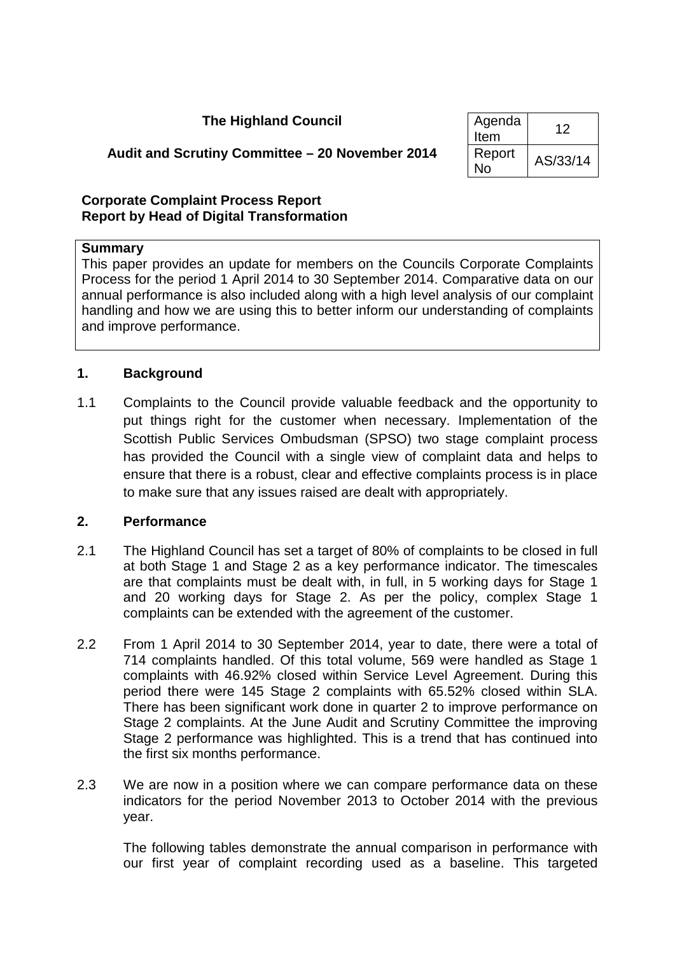### **The Highland Council Agenda**

# $\begin{array}{c|c}\n\hline\nHerm & 12\n\end{array}$  $\overline{N}$ eport | AS/33/14

# **Audit and Scrutiny Committee – 20 November 2014** Report

#### **Corporate Complaint Process Report Report by Head of Digital Transformation**

### **Summary**

This paper provides an update for members on the Councils Corporate Complaints Process for the period 1 April 2014 to 30 September 2014. Comparative data on our annual performance is also included along with a high level analysis of our complaint handling and how we are using this to better inform our understanding of complaints and improve performance.

#### **1. Background**

1.1 Complaints to the Council provide valuable feedback and the opportunity to put things right for the customer when necessary. Implementation of the Scottish Public Services Ombudsman (SPSO) two stage complaint process has provided the Council with a single view of complaint data and helps to ensure that there is a robust, clear and effective complaints process is in place to make sure that any issues raised are dealt with appropriately.

#### **2. Performance**

- 2.1 The Highland Council has set a target of 80% of complaints to be closed in full at both Stage 1 and Stage 2 as a key performance indicator. The timescales are that complaints must be dealt with, in full, in 5 working days for Stage 1 and 20 working days for Stage 2. As per the policy, complex Stage 1 complaints can be extended with the agreement of the customer.
- 2.2 From 1 April 2014 to 30 September 2014, year to date, there were a total of 714 complaints handled. Of this total volume, 569 were handled as Stage 1 complaints with 46.92% closed within Service Level Agreement. During this period there were 145 Stage 2 complaints with 65.52% closed within SLA. There has been significant work done in quarter 2 to improve performance on Stage 2 complaints. At the June Audit and Scrutiny Committee the improving Stage 2 performance was highlighted. This is a trend that has continued into the first six months performance.
- 2.3 We are now in a position where we can compare performance data on these indicators for the period November 2013 to October 2014 with the previous year.

The following tables demonstrate the annual comparison in performance with our first year of complaint recording used as a baseline. This targeted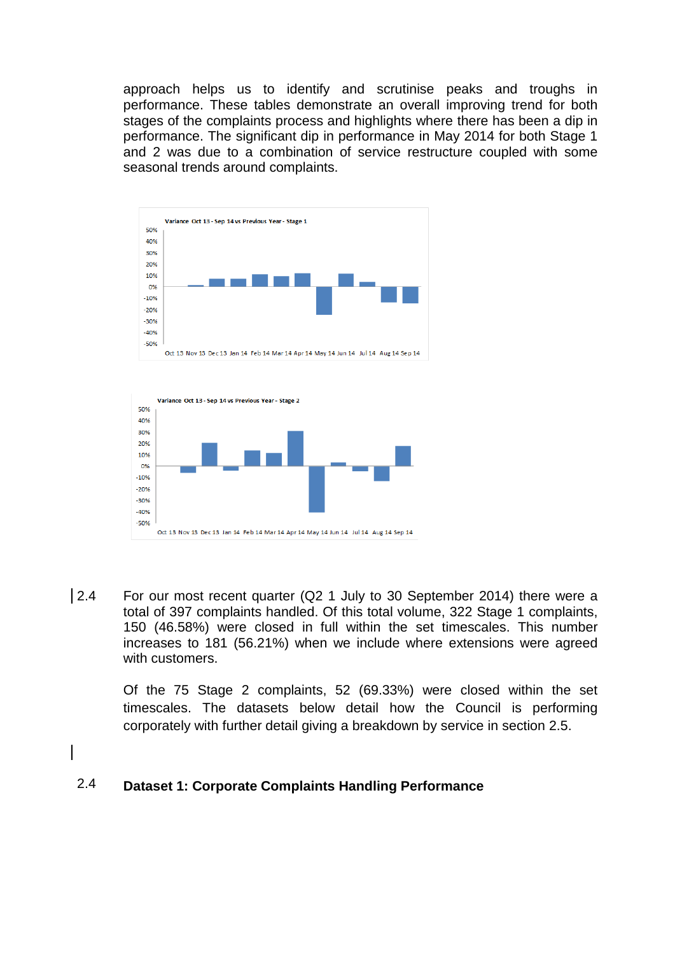approach helps us to identify and scrutinise peaks and troughs in performance. These tables demonstrate an overall improving trend for both stages of the complaints process and highlights where there has been a dip in performance. The significant dip in performance in May 2014 for both Stage 1 and 2 was due to a combination of service restructure coupled with some seasonal trends around complaints.





 $\vert$  2.4 For our most recent quarter (Q2 1 July to 30 September 2014) there were a total of 397 complaints handled. Of this total volume, 322 Stage 1 complaints, 150 (46.58%) were closed in full within the set timescales. This number increases to 181 (56.21%) when we include where extensions were agreed with customers.

> Of the 75 Stage 2 complaints, 52 (69.33%) were closed within the set timescales. The datasets below detail how the Council is performing corporately with further detail giving a breakdown by service in section 2.5.

#### 2.4 **Dataset 1: Corporate Complaints Handling Performance**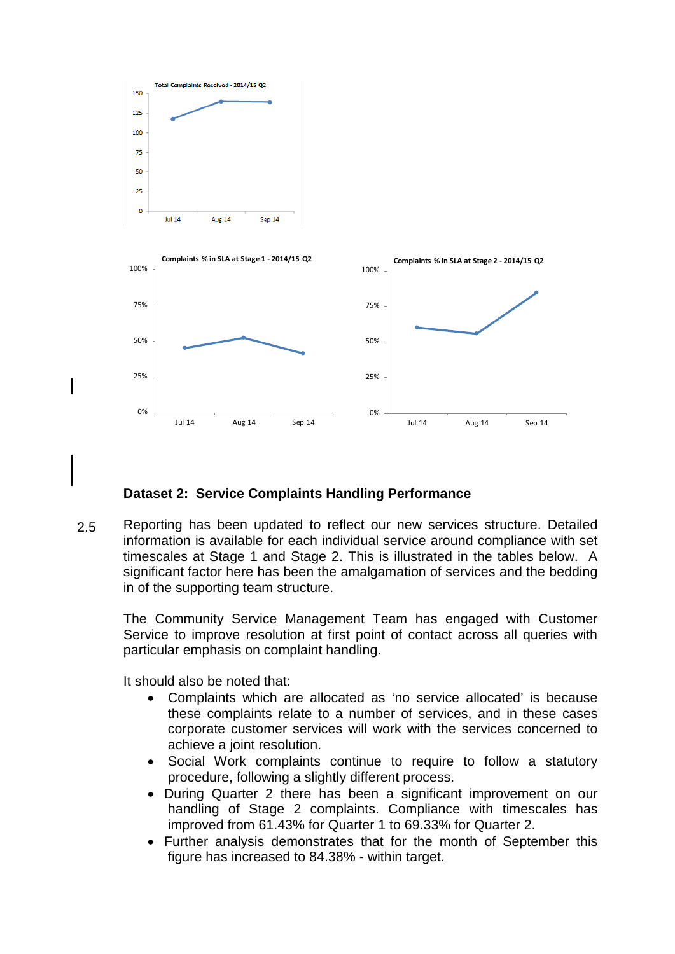

#### **Dataset 2: Service Complaints Handling Performance**

2.5 Reporting has been updated to reflect our new services structure. Detailed information is available for each individual service around compliance with set timescales at Stage 1 and Stage 2. This is illustrated in the tables below. A significant factor here has been the amalgamation of services and the bedding in of the supporting team structure.

The Community Service Management Team has engaged with Customer Service to improve resolution at first point of contact across all queries with particular emphasis on complaint handling.

It should also be noted that:

- Complaints which are allocated as 'no service allocated' is because these complaints relate to a number of services, and in these cases corporate customer services will work with the services concerned to achieve a joint resolution.
- Social Work complaints continue to require to follow a statutory procedure, following a slightly different process.
- During Quarter 2 there has been a significant improvement on our handling of Stage 2 complaints. Compliance with timescales has improved from 61.43% for Quarter 1 to 69.33% for Quarter 2.
- Further analysis demonstrates that for the month of September this figure has increased to 84.38% - within target.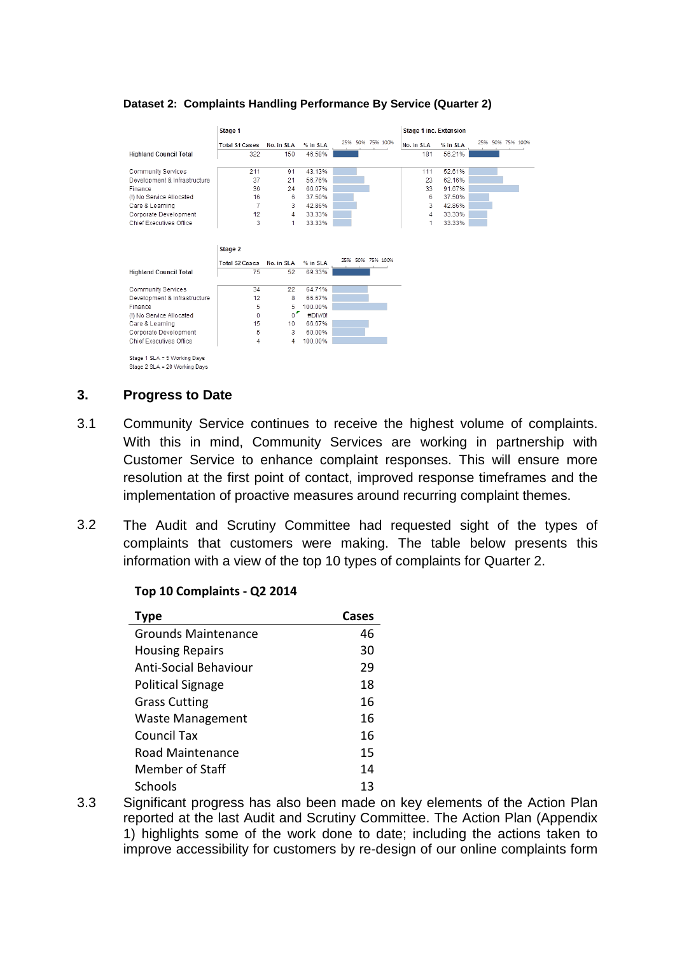#### **Dataset 2: Complaints Handling Performance By Service (Quarter 2)**

|                               | Stage 1               |            |          |                  | Stage 1 inc. Extension |          |                  |
|-------------------------------|-----------------------|------------|----------|------------------|------------------------|----------|------------------|
|                               | <b>Total S1 Cases</b> | No. in SLA | % in SLA | 25% 50% 75% 100% | No. in SLA             | % in SLA | 25% 50% 75% 100% |
| <b>Highland Council Total</b> | 322                   | 150        | 46.58%   |                  | 181                    | 56.21%   |                  |
|                               |                       |            |          |                  |                        |          |                  |
| Community Services            | 211                   | 91         | 43.13%   |                  | 111                    | 52.61%   |                  |
| Development & Infrastructure  | 37                    | 21         | 56.76%   |                  | 23                     | 62.16%   |                  |
| Finance                       | 36                    | 24         | 66.67%   |                  | 33                     | 91.67%   |                  |
| (!) No Service Allocated      | 16                    | 6          | 37.50%   |                  | 6                      | 37.50%   |                  |
| Care & Learning               | 7                     | 3          | 42.86%   |                  | 3                      | 42.86%   |                  |
| Corporate Development         | 12                    | 4          | 33.33%   |                  | 4                      | 33.33%   |                  |
| Chief Executives Office       | 3                     | 1          | 33.33%   |                  | 1                      | 33.33%   |                  |
|                               |                       |            |          |                  |                        |          |                  |
|                               |                       |            |          |                  |                        |          |                  |
|                               | Stage 2               |            |          |                  |                        |          |                  |
|                               | <b>Total S2 Cases</b> | No. in SLA | % in SLA | 25% 50% 75% 100% |                        |          |                  |
| <b>Highland Council Total</b> | 75                    | 52         | 69.33%   |                  |                        |          |                  |
|                               |                       |            |          |                  |                        |          |                  |
| Community Services            | 34                    | 22         | 64.71%   |                  |                        |          |                  |
| Development & Infrastructure  | 12                    | 8          | 66.67%   |                  |                        |          |                  |
| Finance                       | 5                     | 5          | 100.00%  |                  |                        |          |                  |
| (!) No Service Allocated      | 0                     | $\circ$    | #DIV/0!  |                  |                        |          |                  |
| Care & Learning               | 15                    | 10         | 66.67%   |                  |                        |          |                  |
| Corporate Development         | 5                     | 3          | 60.00%   |                  |                        |          |                  |
| Chief Executives Office       | 4                     | 4          | 100.00%  |                  |                        |          |                  |
|                               |                       |            |          |                  |                        |          |                  |
| Stage 1 SLA = 5 Working Days  |                       |            |          |                  |                        |          |                  |
| Stage 2 SLA = 20 Working Days |                       |            |          |                  |                        |          |                  |

#### **3. Progress to Date**

- 3.1 Community Service continues to receive the highest volume of complaints. With this in mind, Community Services are working in partnership with Customer Service to enhance complaint responses. This will ensure more resolution at the first point of contact, improved response timeframes and the implementation of proactive measures around recurring complaint themes.
- 3.2 The Audit and Scrutiny Committee had requested sight of the types of complaints that customers were making. The table below presents this information with a view of the top 10 types of complaints for Quarter 2.

#### **Top 10 Complaints - Q2 2014**

| Type                         | Cases |
|------------------------------|-------|
| Grounds Maintenance          | 46    |
| <b>Housing Repairs</b>       | 30    |
| <b>Anti-Social Behaviour</b> | 29    |
| <b>Political Signage</b>     | 18    |
| <b>Grass Cutting</b>         | 16    |
| <b>Waste Management</b>      | 16    |
| Council Tax                  | 16    |
| Road Maintenance             | 15    |
| Member of Staff              | 14    |
| Schools                      | 13    |

3.3 Significant progress has also been made on key elements of the Action Plan reported at the last Audit and Scrutiny Committee. The Action Plan (Appendix 1) highlights some of the work done to date; including the actions taken to improve accessibility for customers by re-design of our online complaints form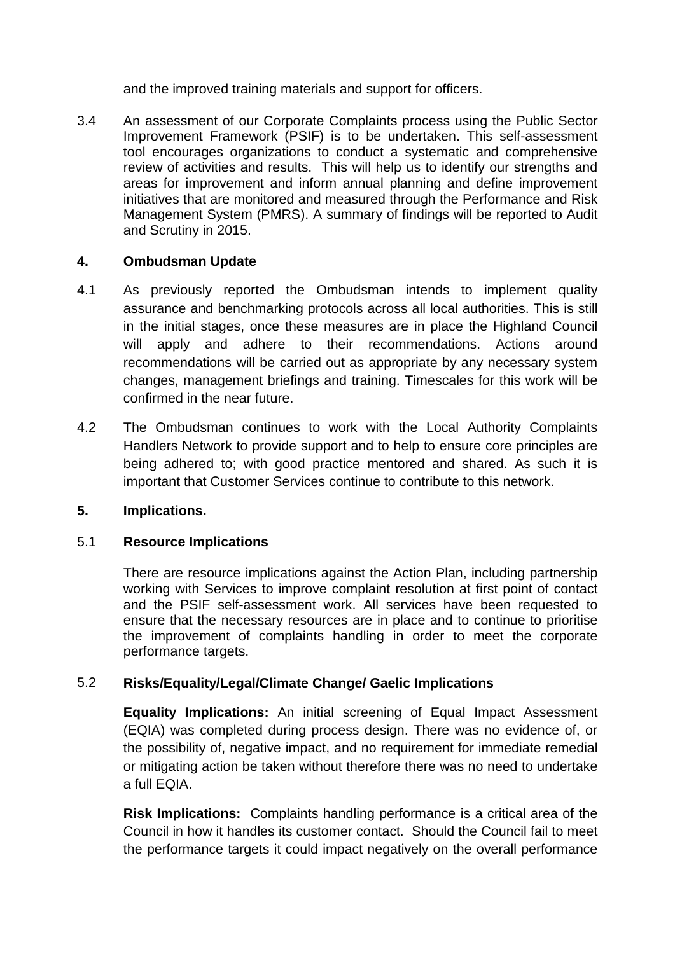and the improved training materials and support for officers.

3.4 An assessment of our Corporate Complaints process using the Public Sector Improvement Framework (PSIF) is to be undertaken. This self-assessment tool encourages organizations to conduct a systematic and comprehensive review of activities and results. This will help us to identify our strengths and areas for improvement and inform annual planning and define improvement initiatives that are monitored and measured through the Performance and Risk Management System (PMRS). A summary of findings will be reported to Audit and Scrutiny in 2015.

# **4. Ombudsman Update**

- 4.1 As previously reported the Ombudsman intends to implement quality assurance and benchmarking protocols across all local authorities. This is still in the initial stages, once these measures are in place the Highland Council will apply and adhere to their recommendations. Actions around recommendations will be carried out as appropriate by any necessary system changes, management briefings and training. Timescales for this work will be confirmed in the near future.
- 4.2 The Ombudsman continues to work with the Local Authority Complaints Handlers Network to provide support and to help to ensure core principles are being adhered to; with good practice mentored and shared. As such it is important that Customer Services continue to contribute to this network.

# **5. Implications.**

# 5.1 **Resource Implications**

There are resource implications against the Action Plan, including partnership working with Services to improve complaint resolution at first point of contact and the PSIF self-assessment work. All services have been requested to ensure that the necessary resources are in place and to continue to prioritise the improvement of complaints handling in order to meet the corporate performance targets.

# 5.2 **Risks/Equality/Legal/Climate Change/ Gaelic Implications**

**Equality Implications:** An initial screening of Equal Impact Assessment (EQIA) was completed during process design. There was no evidence of, or the possibility of, negative impact, and no requirement for immediate remedial or mitigating action be taken without therefore there was no need to undertake a full EQIA.

**Risk Implications:** Complaints handling performance is a critical area of the Council in how it handles its customer contact. Should the Council fail to meet the performance targets it could impact negatively on the overall performance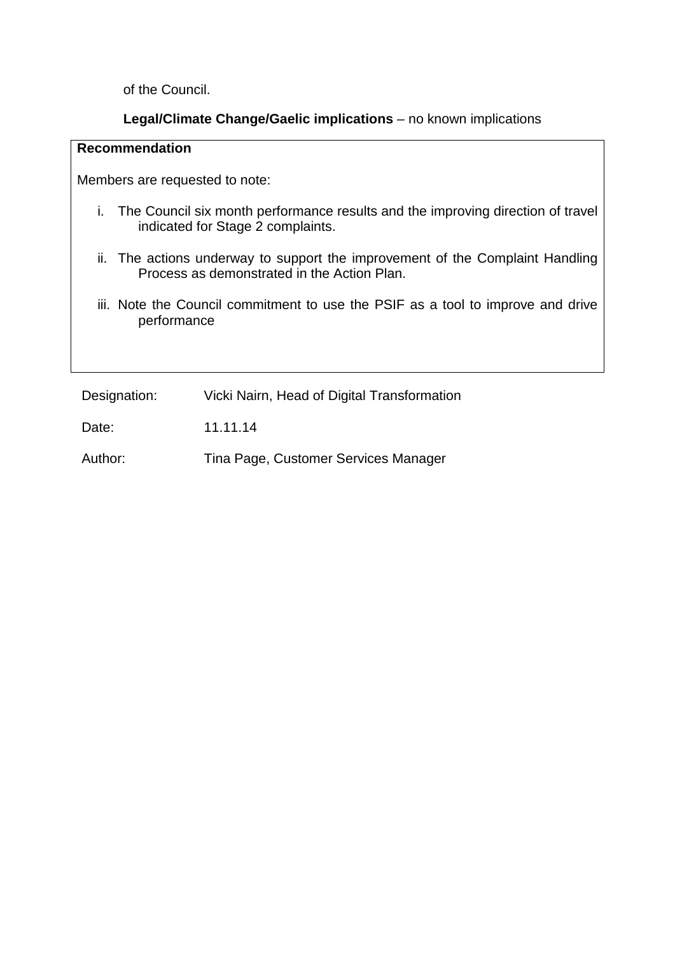of the Council.

#### **Legal/Climate Change/Gaelic implications** – no known implications

#### **Recommendation**

Members are requested to note:

- i. The Council six month performance results and the improving direction of travel indicated for Stage 2 complaints.
- ii. The actions underway to support the improvement of the Complaint Handling Process as demonstrated in the Action Plan.
- iii. Note the Council commitment to use the PSIF as a tool to improve and drive performance

Designation: Vicki Nairn, Head of Digital Transformation

Date: 11.11.14

Author: Tina Page, Customer Services Manager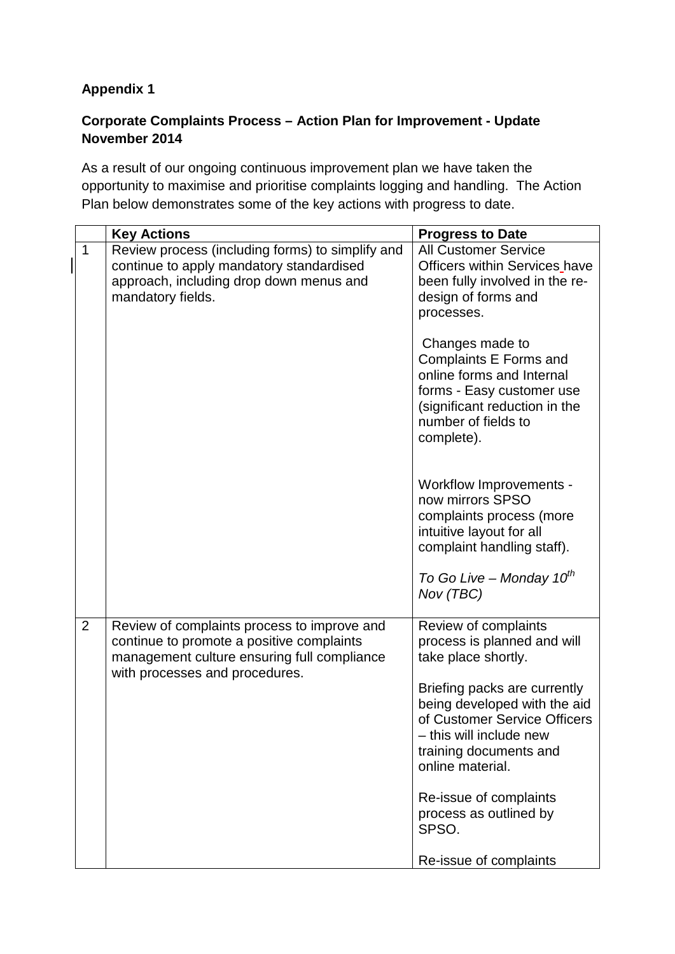# **Appendix 1**

# **Corporate Complaints Process – Action Plan for Improvement - Update November 2014**

As a result of our ongoing continuous improvement plan we have taken the opportunity to maximise and prioritise complaints logging and handling. The Action Plan below demonstrates some of the key actions with progress to date.

|                | <b>Key Actions</b>                                                                                                                                                        | <b>Progress to Date</b>                                                                                                                                                   |
|----------------|---------------------------------------------------------------------------------------------------------------------------------------------------------------------------|---------------------------------------------------------------------------------------------------------------------------------------------------------------------------|
| 1              | Review process (including forms) to simplify and<br>continue to apply mandatory standardised<br>approach, including drop down menus and<br>mandatory fields.              | <b>All Customer Service</b><br><b>Officers within Services have</b><br>been fully involved in the re-<br>design of forms and<br>processes.                                |
|                |                                                                                                                                                                           | Changes made to<br>Complaints E Forms and<br>online forms and Internal<br>forms - Easy customer use<br>(significant reduction in the<br>number of fields to<br>complete). |
|                |                                                                                                                                                                           | Workflow Improvements -<br>now mirrors SPSO<br>complaints process (more<br>intuitive layout for all<br>complaint handling staff).                                         |
|                |                                                                                                                                                                           | To Go Live – Monday $10^{th}$<br>Nov (TBC)                                                                                                                                |
| $\overline{2}$ | Review of complaints process to improve and<br>continue to promote a positive complaints<br>management culture ensuring full compliance<br>with processes and procedures. | Review of complaints<br>process is planned and will<br>take place shortly.                                                                                                |
|                |                                                                                                                                                                           | Briefing packs are currently<br>being developed with the aid<br>of Customer Service Officers<br>- this will include new<br>training documents and<br>online material.     |
|                |                                                                                                                                                                           | Re-issue of complaints<br>process as outlined by<br>SPSO.                                                                                                                 |
|                |                                                                                                                                                                           | Re-issue of complaints                                                                                                                                                    |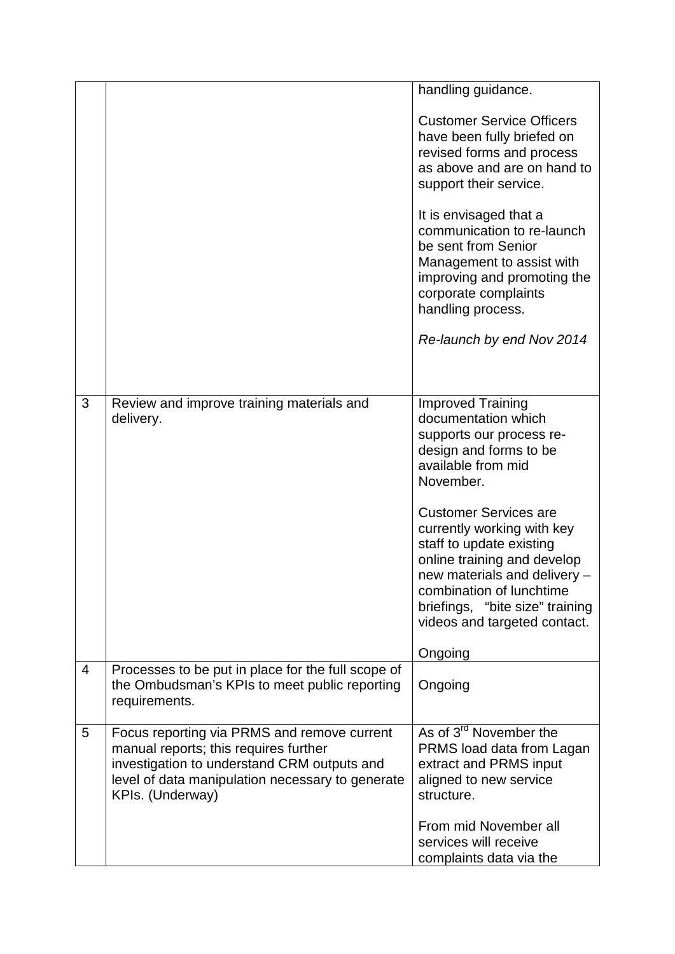|                |                                                    | handling guidance.                                              |
|----------------|----------------------------------------------------|-----------------------------------------------------------------|
|                |                                                    | <b>Customer Service Officers</b>                                |
|                |                                                    | have been fully briefed on                                      |
|                |                                                    | revised forms and process                                       |
|                |                                                    | as above and are on hand to                                     |
|                |                                                    | support their service.                                          |
|                |                                                    | It is envisaged that a                                          |
|                |                                                    | communication to re-launch                                      |
|                |                                                    | be sent from Senior                                             |
|                |                                                    | Management to assist with                                       |
|                |                                                    | improving and promoting the                                     |
|                |                                                    | corporate complaints                                            |
|                |                                                    | handling process.                                               |
|                |                                                    | Re-launch by end Nov 2014                                       |
|                |                                                    |                                                                 |
| 3              | Review and improve training materials and          | <b>Improved Training</b>                                        |
|                | delivery.                                          | documentation which                                             |
|                |                                                    | supports our process re-                                        |
|                |                                                    | design and forms to be                                          |
|                |                                                    | available from mid                                              |
|                |                                                    | November.                                                       |
|                |                                                    | <b>Customer Services are</b>                                    |
|                |                                                    | currently working with key                                      |
|                |                                                    | staff to update existing                                        |
|                |                                                    | online training and develop                                     |
|                |                                                    | new materials and delivery -                                    |
|                |                                                    | combination of lunchtime                                        |
|                |                                                    | briefings, "bite size" training<br>videos and targeted contact. |
|                |                                                    |                                                                 |
| $\overline{4}$ | Processes to be put in place for the full scope of | Ongoing                                                         |
|                | the Ombudsman's KPIs to meet public reporting      | Ongoing                                                         |
|                | requirements.                                      |                                                                 |
| 5              | Focus reporting via PRMS and remove current        | As of 3 <sup>rd</sup> November the                              |
|                | manual reports; this requires further              | PRMS load data from Lagan                                       |
|                | investigation to understand CRM outputs and        | extract and PRMS input                                          |
|                | level of data manipulation necessary to generate   | aligned to new service                                          |
|                | KPIs. (Underway)                                   | structure.                                                      |
|                |                                                    |                                                                 |
|                |                                                    | From mid November all                                           |
|                |                                                    | services will receive                                           |
|                |                                                    | complaints data via the                                         |